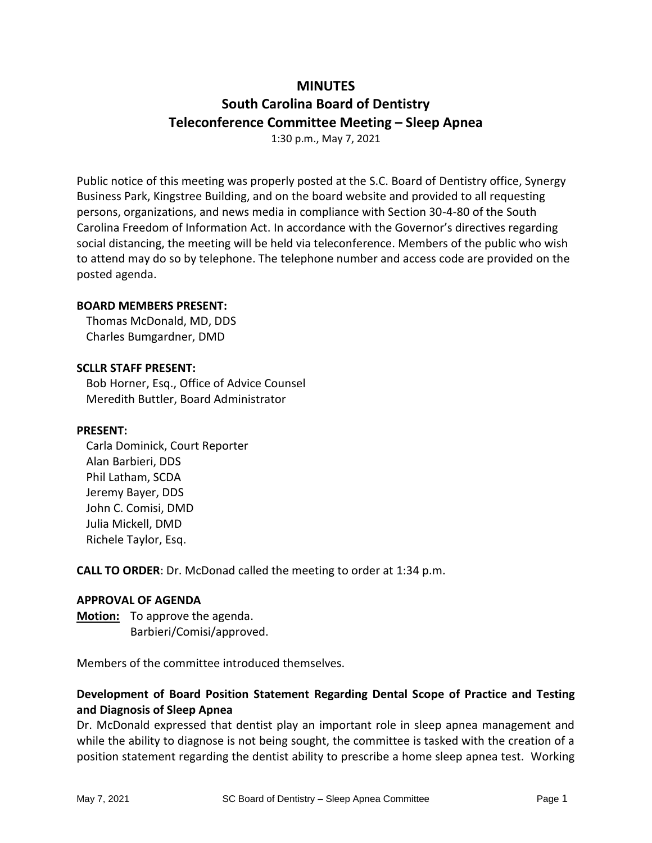## **MINUTES**

# **South Carolina Board of Dentistry Teleconference Committee Meeting – Sleep Apnea**

1:30 p.m., May 7, 2021

Public notice of this meeting was properly posted at the S.C. Board of Dentistry office, Synergy Business Park, Kingstree Building, and on the board website and provided to all requesting persons, organizations, and news media in compliance with Section 30-4-80 of the South Carolina Freedom of Information Act. In accordance with the Governor's directives regarding social distancing, the meeting will be held via teleconference. Members of the public who wish to attend may do so by telephone. The telephone number and access code are provided on the posted agenda.

## **BOARD MEMBERS PRESENT:**

Thomas McDonald, MD, DDS Charles Bumgardner, DMD

## **SCLLR STAFF PRESENT:**

Bob Horner, Esq., Office of Advice Counsel Meredith Buttler, Board Administrator

### **PRESENT:**

Carla Dominick, Court Reporter Alan Barbieri, DDS Phil Latham, SCDA Jeremy Bayer, DDS John C. Comisi, DMD Julia Mickell, DMD Richele Taylor, Esq.

**CALL TO ORDER**: Dr. McDonad called the meeting to order at 1:34 p.m.

### **APPROVAL OF AGENDA**

**Motion:** To approve the agenda. Barbieri/Comisi/approved.

Members of the committee introduced themselves.

## **Development of Board Position Statement Regarding Dental Scope of Practice and Testing and Diagnosis of Sleep Apnea**

Dr. McDonald expressed that dentist play an important role in sleep apnea management and while the ability to diagnose is not being sought, the committee is tasked with the creation of a position statement regarding the dentist ability to prescribe a home sleep apnea test. Working